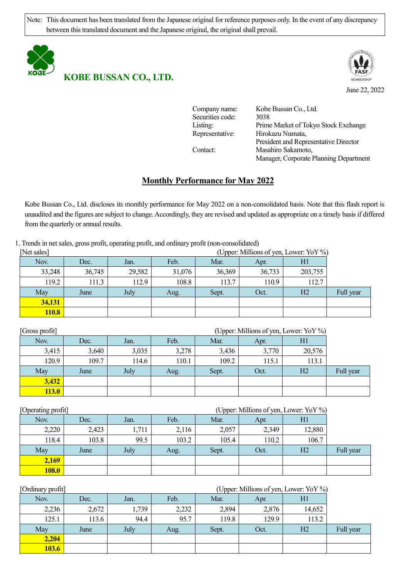Note: This document has been translated from the Japanese original for reference purposes only. In the event of any discrepancy between this translated document and the Japanese original, the original shall prevail.



**KOBE BUSSAN CO., LTD.**



June 22, 2022

| Company name:    | Kobe Bussan Co., Ltd.                  |
|------------------|----------------------------------------|
| Securities code: | 3038                                   |
| Listing:         | Prime Market of Tokyo Stock Exchange   |
| Representative:  | Hirokazu Numata,                       |
|                  | President and Representative Director  |
| Contact:         | Masahiro Sakamoto,                     |
|                  | Manager, Corporate Planning Department |

# **Monthly Performance for May 2022**

Kobe Bussan Co., Ltd. discloses its monthly performance for May 2022 on a non-consolidated basis. Note that this flash report is unaudited and the figures are subject to change. Accordingly, they are revised and updated as appropriate on a timely basis if differed from the quarterly or annual results.

1. Trends in net sales, gross profit, operating profit, and ordinary profit (non-consolidated)

| [Net sales]  | (Upper: Millions of yen, Lower: YoY %) |              |        |        |        |                |           |  |  |
|--------------|----------------------------------------|--------------|--------|--------|--------|----------------|-----------|--|--|
| Nov.         | Dec.                                   | Feb.<br>Jan. |        |        | Apr.   | HI             |           |  |  |
| 33,248       | 36,745                                 | 29,582       | 31,076 | 36,369 | 36,733 | 203,755        |           |  |  |
| 119.2        | 111.3                                  | 112.9        | 108.8  | 113.7  | 110.9  | 112.7          |           |  |  |
| May          | June                                   | July         | Aug.   | Sept.  | Oct.   | H <sub>2</sub> | Full year |  |  |
| 34,131       |                                        |              |        |        |        |                |           |  |  |
| <b>110.8</b> |                                        |              |        |        |        |                |           |  |  |

| [Gross profit] | (Upper: Millions of yen, Lower: YoY %) |                                    |       |       |       |                |           |  |
|----------------|----------------------------------------|------------------------------------|-------|-------|-------|----------------|-----------|--|
| Nov.           | Dec.                                   | Feb.<br>Mar.<br>H1<br>Jan.<br>Apr. |       |       |       |                |           |  |
| 3,415          | 3,640                                  | 3,035                              | 3,278 | 3,436 | 3,770 | 20,576         |           |  |
| 120.9          | 109.7                                  | 114.6                              | 110.1 | 109.2 | 115.1 | 113.1          |           |  |
| May            | June                                   | July                               | Aug.  | Sept. | Oct.  | H <sub>2</sub> | Full year |  |
| 3,432          |                                        |                                    |       |       |       |                |           |  |
| 113.0          |                                        |                                    |       |       |       |                |           |  |

| [Operating profit] |       | (Upper: Millions of yen, Lower: YoY %) |       |       |       |        |           |  |  |  |
|--------------------|-------|----------------------------------------|-------|-------|-------|--------|-----------|--|--|--|
| Nov.               | Dec.  | Feb.<br>Jan.                           |       |       | Apr.  | H1     |           |  |  |  |
| 2,220              | 2,423 | 1,711                                  | 2,116 | 2,057 | 2,349 | 12,880 |           |  |  |  |
| 118.4              | 103.8 | 99.5                                   | 103.2 | 105.4 | 110.2 | 106.7  |           |  |  |  |
| May                | June  | July                                   | Aug.  | Sept. | Oct.  | H2     | Full year |  |  |  |
| 2,169              |       |                                        |       |       |       |        |           |  |  |  |
| <b>108.0</b>       |       |                                        |       |       |       |        |           |  |  |  |

| [Ordinary profit] |       | (Upper: Millions of yen, Lower: YoY %) |       |       |       |                |           |  |  |
|-------------------|-------|----------------------------------------|-------|-------|-------|----------------|-----------|--|--|
| Nov.              | Dec.  | Feb.<br>Jan.                           |       |       | Apr.  | Hl             |           |  |  |
| 2,236             | 2,672 | 1,739                                  | 2,232 | 2,894 | 2,876 | 14,652         |           |  |  |
| 125.1             | 113.6 | 94.4                                   | 95.7  | 119.8 | 129.9 | 113.2          |           |  |  |
| May               | June  | July                                   | Aug.  | Sept. | Oct.  | H <sub>2</sub> | Full year |  |  |
| 2,204             |       |                                        |       |       |       |                |           |  |  |
| <b>103.6</b>      |       |                                        |       |       |       |                |           |  |  |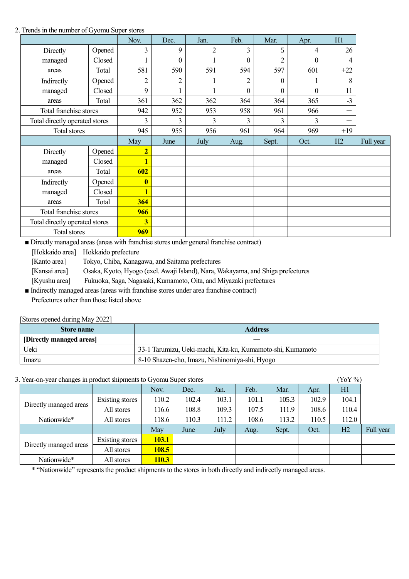#### 2. Trends in the number of Gyomu Super stores

|                                |        | Nov.                    | Dec.             | Jan.           | Feb.             | Mar.           | Apr.             | H1    |           |
|--------------------------------|--------|-------------------------|------------------|----------------|------------------|----------------|------------------|-------|-----------|
| Directly                       | Opened | 3                       | 9                | $\overline{2}$ | 3                | 5              | 4                | 26    |           |
| managed                        | Closed |                         | $\boldsymbol{0}$ |                | $\boldsymbol{0}$ | $\overline{2}$ | $\boldsymbol{0}$ | 4     |           |
| areas                          | Total  | 581                     | 590              | 591            | 594              | 597            | 601              | $+22$ |           |
| Indirectly                     | Opened | 2                       | $\overline{c}$   |                | $\overline{c}$   | $\Omega$       |                  | 8     |           |
| managed                        | Closed | 9                       |                  |                | $\boldsymbol{0}$ | $\theta$       | $\boldsymbol{0}$ | 11    |           |
| areas                          | Total  | 361                     | 362              | 362            | 364              | 364            | 365              | $-3$  |           |
| Total franchise stores         |        | 942                     | 952              | 953            | 958              | 961            | 966              | —     |           |
| Total directly operated stores |        | 3                       | 3                | 3              | 3                | 3              | 3                |       |           |
| <b>Total stores</b>            |        | 945                     | 955              | 956            | 961              | 964            | 969              | $+19$ |           |
|                                |        | May                     | June             | July           | Aug.             | Sept.          | Oct.             | H2    | Full year |
| Directly                       | Opened | $\overline{2}$          |                  |                |                  |                |                  |       |           |
| managed                        | Closed |                         |                  |                |                  |                |                  |       |           |
| areas                          | Total  | 602                     |                  |                |                  |                |                  |       |           |
| Indirectly                     | Opened | $\bf{0}$                |                  |                |                  |                |                  |       |           |
| managed                        | Closed |                         |                  |                |                  |                |                  |       |           |
| areas                          | Total  | 364                     |                  |                |                  |                |                  |       |           |
| Total franchise stores         |        | 966                     |                  |                |                  |                |                  |       |           |
| Total directly operated stores |        | $\overline{\mathbf{3}}$ |                  |                |                  |                |                  |       |           |
| Total stores                   |        |                         |                  |                |                  |                |                  |       |           |

■ Directly managed areas (areas with franchise stores under general franchise contract)

[Hokkaido area] Hokkaido prefecture

[Kanto area] Tokyo, Chiba, Kanagawa, and Saitama prefectures

[Kansai area] Osaka, Kyoto, Hyogo (excl. Awaji Island), Nara, Wakayama, and Shiga prefectures

[Kyushu area] Fukuoka, Saga, Nagasaki, Kumamoto, Oita, and Miyazaki prefectures

■ Indirectly managed areas (areas with franchise stores under area franchise contract) Prefectures other than those listed above

## [Stores opened during May 2022]

| <b>Store name</b>        | <b>Address</b>                                             |
|--------------------------|------------------------------------------------------------|
| [Directly managed areas] |                                                            |
| Ueki                     | 33-1 Tarumizu, Ueki-machi, Kita-ku, Kumamoto-shi, Kumamoto |
| <i>Imazu</i>             | 8-10 Shazen-cho, Imazu, Nishinomiya-shi, Hyogo             |

## 3. Year-on-year changes in product shipments to Gyomu Super stores (YoY %)

| $\alpha$ . Teal-on-year changes in product sinpliferits to Gyorna super stores<br>101/0 |                 |              |              |       |       |       |       |       |       |           |
|-----------------------------------------------------------------------------------------|-----------------|--------------|--------------|-------|-------|-------|-------|-------|-------|-----------|
|                                                                                         |                 |              | Nov.         | Dec.  | Jan.  | Feb.  | Mar.  | Apr.  | H1    |           |
|                                                                                         | Existing stores | 110.2        | 102.4        | 103.1 | 101.1 | 105.3 | 102.9 | 104.1 |       |           |
| Directly managed areas                                                                  |                 | All stores   | 116.6        | 108.8 | 109.3 | 107.5 | 111.9 | 108.6 | 110.4 |           |
| Nationwide*                                                                             |                 | All stores   | 118.6        | 110.3 | 111.2 | 108.6 | 113.2 | 110.5 | 112.0 |           |
|                                                                                         |                 |              | May          | June  | July  | Aug.  | Sept. | Oct.  | H2    | Full year |
| Directly managed areas                                                                  | Existing stores | <b>103.1</b> |              |       |       |       |       |       |       |           |
|                                                                                         | All stores      | 108.5        |              |       |       |       |       |       |       |           |
| Nationwide*                                                                             |                 | All stores   | <b>110.3</b> |       |       |       |       |       |       |           |

\* "Nationwide" represents the product shipments to the stores in both directly and indirectly managed areas.